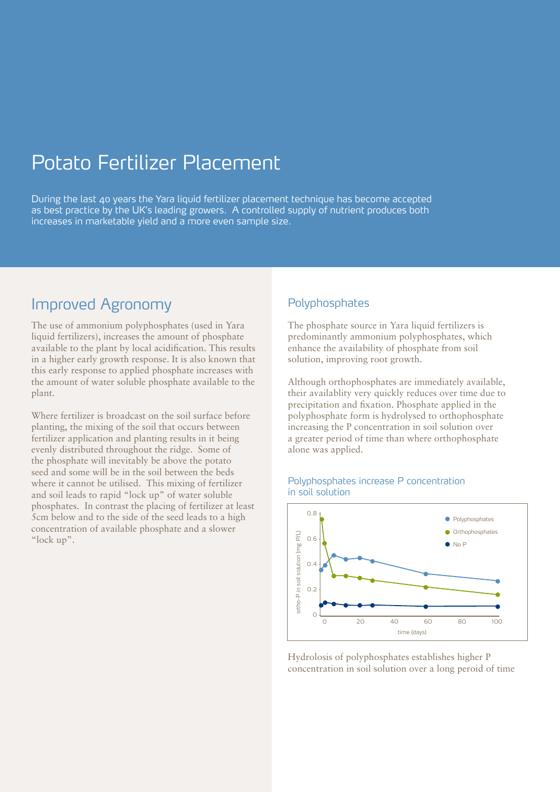# Potato Fertilizer Placement

During the last 40 years the Yara liquid fertilizer placement technique has become accepted as best practice by the UK's leading growers. A controlled supply of nutrient produces both increases in marketable yield and a more even sample size.

### Improved Agronomy

The use of ammonium polyphosphates (used in Yara liquid fertilizers), increases the amount of phosphate available to the plant by local acidification. This results in a higher early growth response. It is also known that this early response to applied phosphate increases with the amount of water soluble phosphate available to the plant.

Where fertilizer is broadcast on the soil surface before planting, the mixing of the soil that occurs between fertilizer application and planting results in it being evenly distributed throughout the ridge. Some of the phosphate will inevitably be above the potato seed and some will be in the soil between the beds where it cannot be utilised. This mixing of fertilizer and soil leads to rapid "lock up" of water soluble phosphates. In contrast the placing of fertilizer at least 5cm below and to the side of the seed leads to a high concentration of available phosphate and a slower "lock up".

#### Polyphosphates

The phosphate source in Yara liquid fertilizers is predominantly ammonium polyphosphates, which enhance the availability of phosphate from soil solution, improving root growth.

Although orthophosphates are immediately available, their availablity very quickly reduces over time due to precipitation and fixation. Phosphate applied in the polyphosphate form is hydrolysed to orthophosphate increasing the P concentration in soil solution over a greater period of time than where orthophosphate alone was applied.



#### Polyphosphates increase P concentration in soil solution

Hydrolosis of polyphosphates establishes higher P concentration in soil solution over a long peroid of time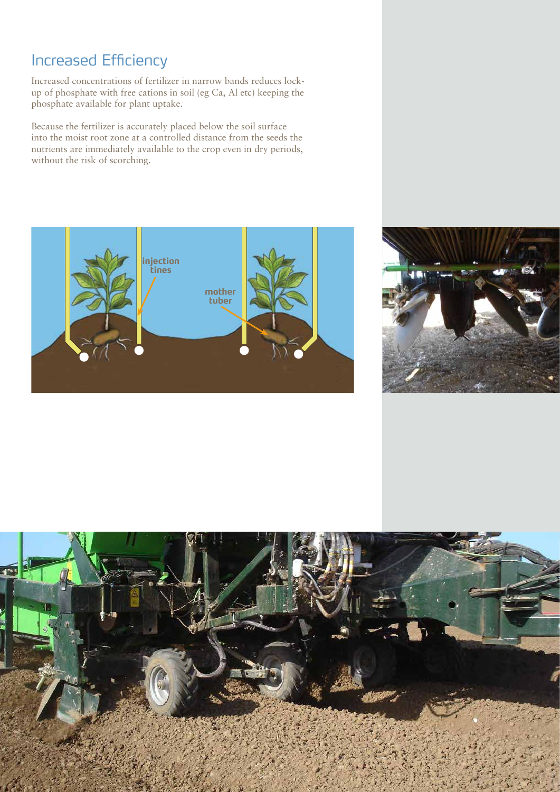## Increased Efficiency

Increased concentrations of fertilizer in narrow bands reduces lockup of phosphate with free cations in soil (eg Ca, Al etc) keeping the phosphate available for plant uptake.

Because the fertilizer is accurately placed below the soil surface into the moist root zone at a controlled distance from the seeds the nutrients are immediately available to the crop even in dry periods, without the risk of scorching.





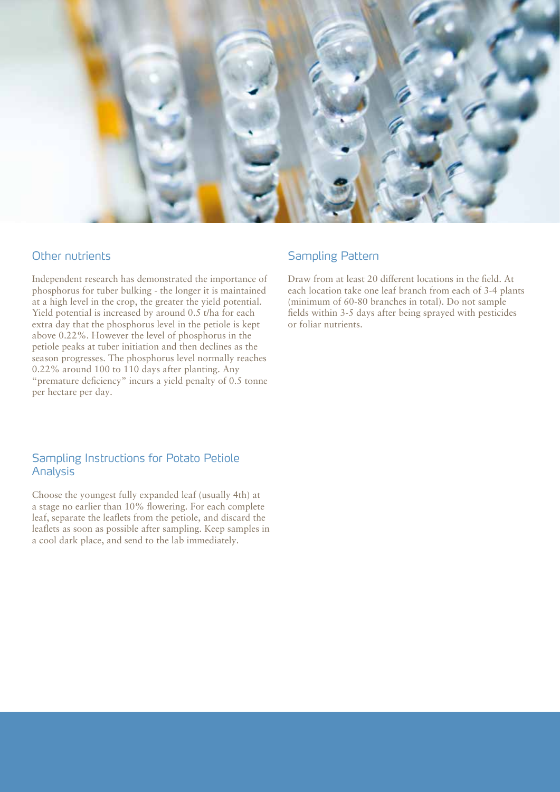

#### Other nutrients

Independent research has demonstrated the importance of phosphorus for tuber bulking - the longer it is maintained at a high level in the crop, the greater the yield potential. Yield potential is increased by around 0.5 t/ha for each extra day that the phosphorus level in the petiole is kept above 0.22%. However the level of phosphorus in the petiole peaks at tuber initiation and then declines as the season progresses. The phosphorus level normally reaches 0.22% around 100 to 110 days after planting. Any "premature deficiency" incurs a yield penalty of 0.5 tonne per hectare per day.

#### Sampling Instructions for Potato Petiole Analysis

Choose the youngest fully expanded leaf (usually 4th) at a stage no earlier than 10% flowering. For each complete leaf, separate the leaflets from the petiole, and discard the leaflets as soon as possible after sampling. Keep samples in a cool dark place, and send to the lab immediately.

#### Sampling Pattern

Draw from at least 20 different locations in the field. At each location take one leaf branch from each of 3-4 plants (minimum of 60-80 branches in total). Do not sample fields within 3-5 days after being sprayed with pesticides or foliar nutrients.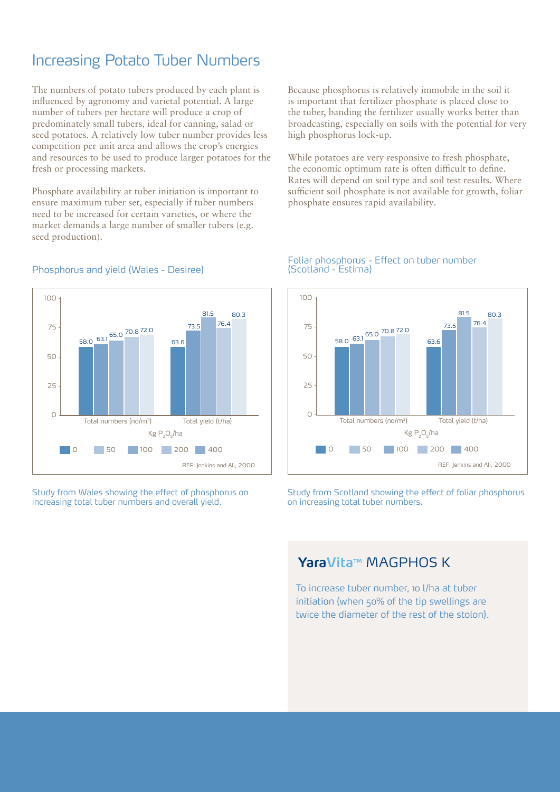## Increasing Potato Tuber Numbers

The numbers of potato tubers produced by each plant is influenced by agronomy and varietal potential. A large number of tubers per hectare will produce a crop of predominately small tubers, ideal for canning, salad or seed potatoes. A relatively low tuber number provides less competition per unit area and allows the crop's energies and resources to be used to produce larger potatoes for the fresh or processing markets.

Phosphate availability at tuber initiation is important to ensure maximum tuber set, especially if tuber numbers need to be increased for certain varieties, or where the market demands a large number of smaller tubers (e.g. seed production).

Because phosphorus is relatively immobile in the soil it is important that fertilizer phosphate is placed close to the tuber, banding the fertilizer usually works better than broadcasting, especially on soils with the potential for very high phosphorus lock-up.

While potatoes are very responsive to fresh phosphate, the economic optimum rate is often difficult to define. Rates will depend on soil type and soil test results. Where sufficient soil phosphate is not available for growth, foliar phosphate ensures rapid availability.



Phosphorus and yield (Wales - Desiree)

Study from Wales showing the effect of phosphorus on increasing total tuber numbers and overall yield.

#### Foliar phosphorus - Effect on tuber number (Scotland - Estima)



Study from Scotland showing the effect of foliar phosphorus on increasing total tuber numbers.

### YaraVita<sup>™</sup> MAGPHOS K

To increase tuber number, 10 l/ha at tuber initiation (when 50% of the tip swellings are twice the diameter of the rest of the stolon).